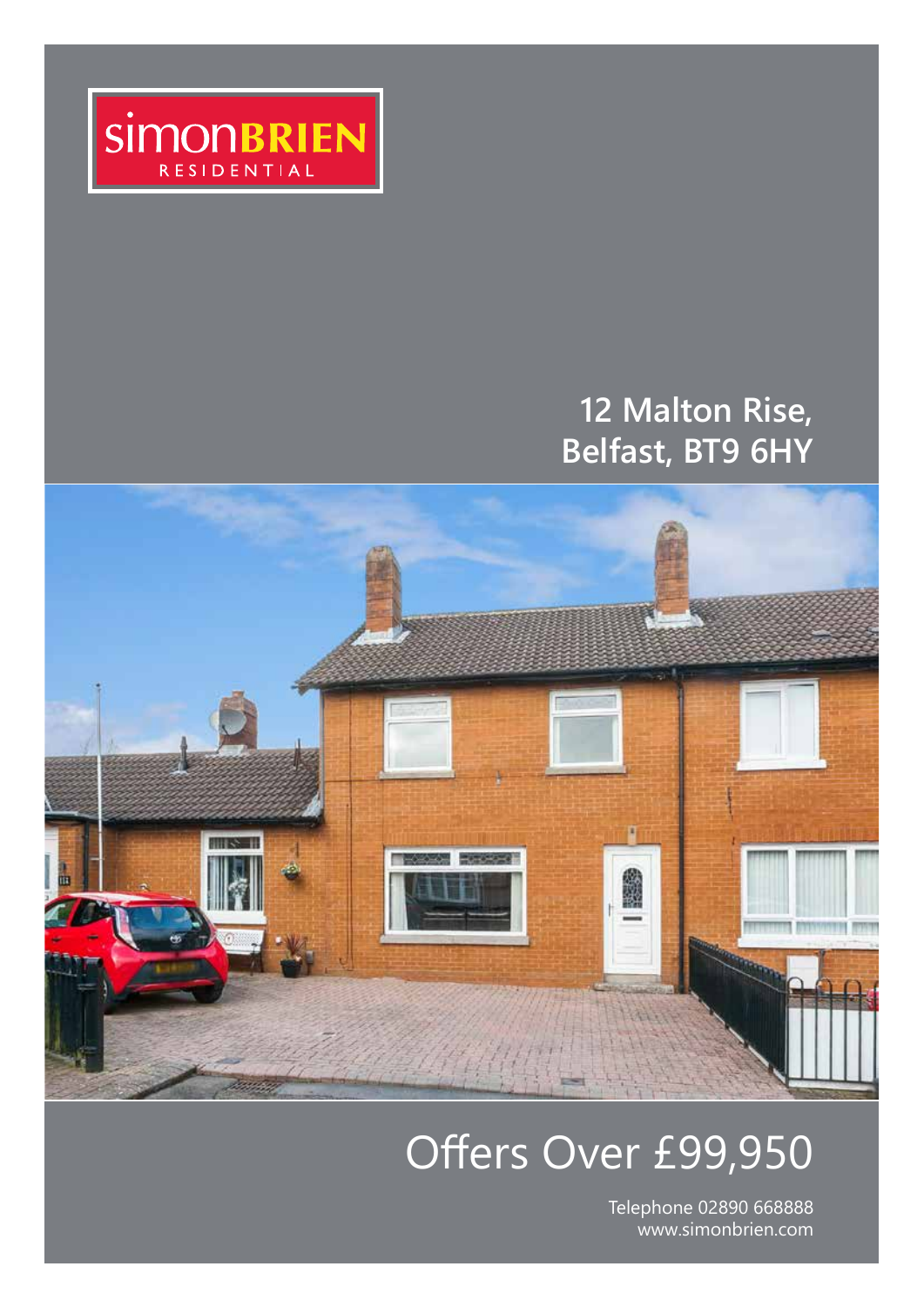

# **12 Malton Rise, Belfast, BT9 6HY**



# Offers Over £99,950

Telephone 02890 668888 www.simonbrien.com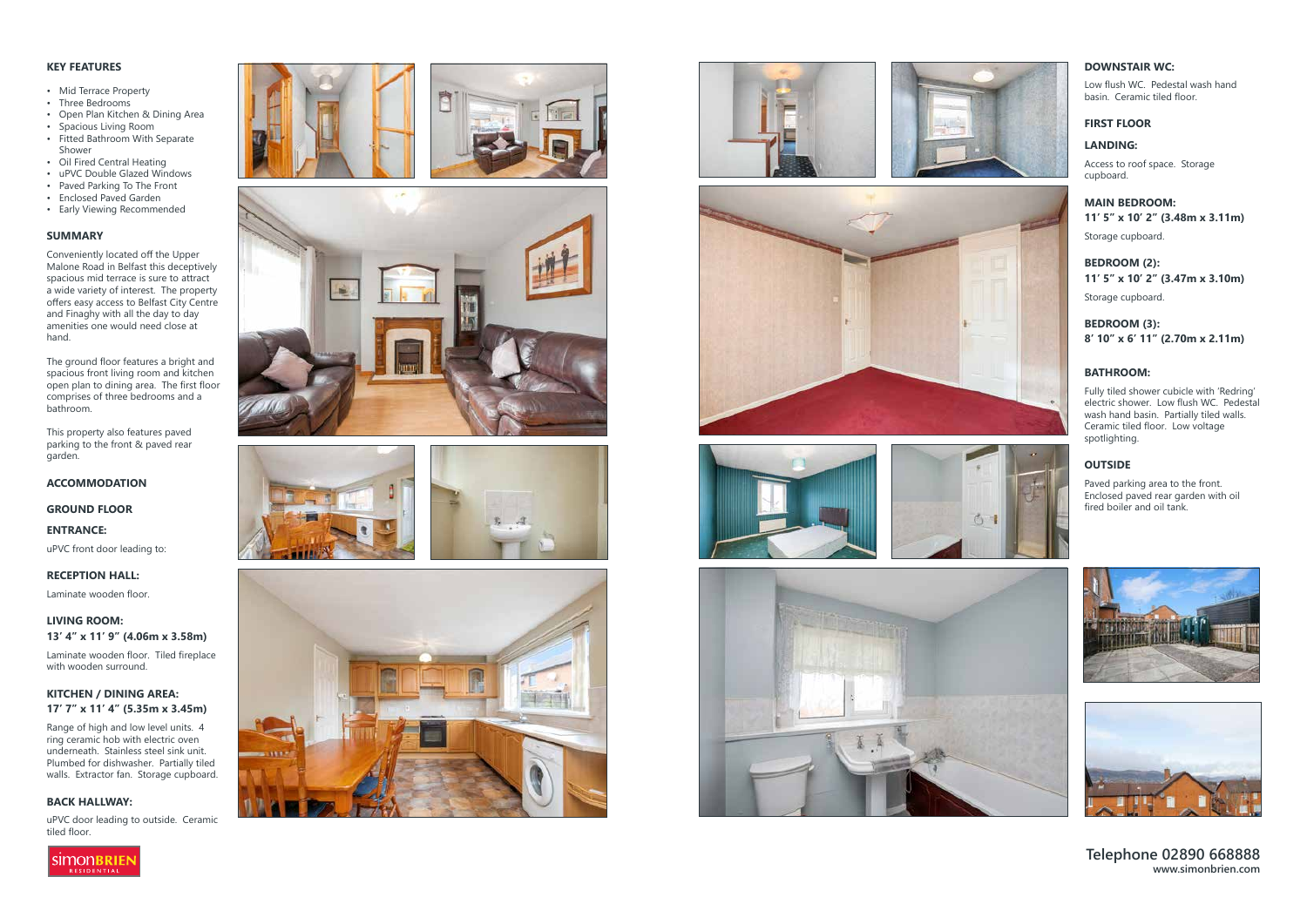# **Telephone 02890 668888 www.simonbrien.com**

# **KEY FEATURES**

- Mid Terrace Property<br>• Three Bedrooms
- 
- Open Plan Kitchen & Dining Area<br>• Spacious Living Room
- 
- Fitted Bathroom With Separate Shower
- Oil Fired Central Heating
- uPVC Double Glazed Windows
- Paved Parking To The Front
- Enclosed Paved Garden
- Early Viewing Recommended

# **SUMMARY**

Conveniently located off the Upper Malone Road in Belfast this deceptively spacious mid terrace is sure to attract a wide variety of interest. The property offers easy access to Belfast City Centre and Finaghy with all the day to day amenities one would need close at hand.

Range of high and low level units. 4 ring ceramic hob with electric oven underneath. Stainless steel sink unit. Plumbed for dishwasher. Partially tiled walls. Extractor fan. Storage cupboard.

The ground floor features a bright and spacious front living room and kitchen open plan to dining area. The first floor comprises of three bedrooms and a bathroom.

This property also features paved parking to the front & paved rear garden.

# **ACCOMMODATION**

**GROUND FLOOR**

**ENTRANCE:** 

uPVC front door leading to:

### **RECEPTION HALL:**

Laminate wooden floor.

**LIVING ROOM: 13' 4" x 11' 9" (4.06m x 3.58m)** 

Laminate wooden floor. Tiled fireplace with wooden surround.

# **KITCHEN / DINING AREA: 17' 7" x 11' 4" (5.35m x 3.45m)**

# **BACK HALLWAY:**

uPVC door leading to outside. Ceramic tiled floor.

























# **DOWNSTAIR WC:**

Low flush WC. Pedestal wash hand basin. Ceramic tiled floor.

# **FIRST FLOOR**

# **LANDING:**

Access to roof space. Storage cupboard.

# **MAIN BEDROOM: 11' 5" x 10' 2" (3.48m x 3.11m)**

Storage cupboard.

# **BEDROOM (2): 11' 5" x 10' 2" (3.47m x 3.10m)**

Storage cupboard.

# **BEDROOM (3): 8' 10" x 6' 11" (2.70m x 2.11m)**

## **BATHROOM:**

Fully tiled shower cubicle with 'Redring' electric shower. Low flush WC. Pedestal wash hand basin. Partially tiled walls. Ceramic tiled floor. Low voltage spotlighting.

# **OUTSIDE**

Paved parking area to the front. Enclosed paved rear garden with oil fired boiler and oil tank.